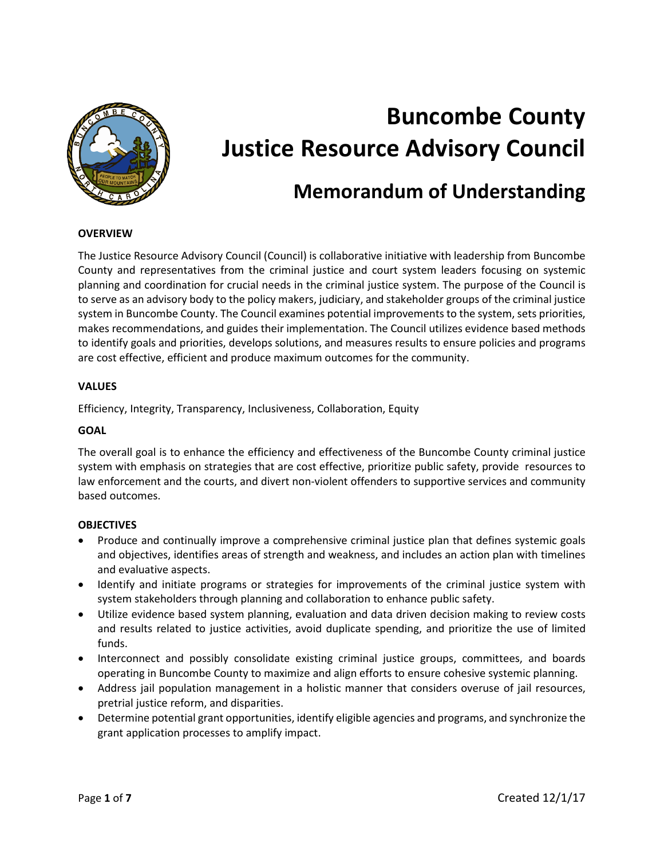

# **Buncombe County Justice Resource Advisory Council**

# **Memorandum of Understanding**

#### **OVERVIEW**

The Justice Resource Advisory Council (Council) is collaborative initiative with leadership from Buncombe County and representatives from the criminal justice and court system leaders focusing on systemic planning and coordination for crucial needs in the criminal justice system. The purpose of the Council is to serve as an advisory body to the policy makers, judiciary, and stakeholder groups of the criminal justice system in Buncombe County. The Council examines potential improvements to the system, sets priorities, makes recommendations, and guides their implementation. The Council utilizes evidence based methods to identify goals and priorities, develops solutions, and measures results to ensure policies and programs are cost effective, efficient and produce maximum outcomes for the community.

#### **VALUES**

Efficiency, Integrity, Transparency, Inclusiveness, Collaboration, Equity

#### **GOAL**

The overall goal is to enhance the efficiency and effectiveness of the Buncombe County criminal justice system with emphasis on strategies that are cost effective, prioritize public safety, provide resources to law enforcement and the courts, and divert non-violent offenders to supportive services and community based outcomes.

# **OBJECTIVES**

- Produce and continually improve a comprehensive criminal justice plan that defines systemic goals and objectives, identifies areas of strength and weakness, and includes an action plan with timelines and evaluative aspects.
- Identify and initiate programs or strategies for improvements of the criminal justice system with system stakeholders through planning and collaboration to enhance public safety.
- Utilize evidence based system planning, evaluation and data driven decision making to review costs and results related to justice activities, avoid duplicate spending, and prioritize the use of limited funds.
- Interconnect and possibly consolidate existing criminal justice groups, committees, and boards operating in Buncombe County to maximize and align efforts to ensure cohesive systemic planning.
- Address jail population management in a holistic manner that considers overuse of jail resources, pretrial justice reform, and disparities.
- Determine potential grant opportunities, identify eligible agencies and programs, and synchronize the grant application processes to amplify impact.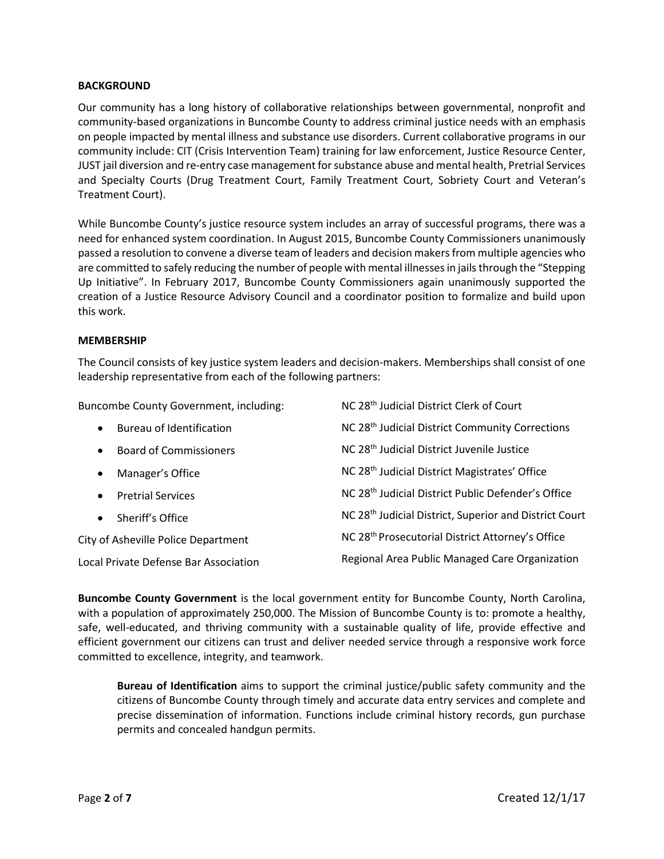# **BACKGROUND**

Our community has a long history of collaborative relationships between governmental, nonprofit and community-based organizations in Buncombe County to address criminal justice needs with an emphasis on people impacted by mental illness and substance use disorders. Current collaborative programs in our community include: CIT (Crisis Intervention Team) training for law enforcement, Justice Resource Center, JUST jail diversion and re-entry case management for substance abuse and mental health, Pretrial Services and Specialty Courts (Drug Treatment Court, Family Treatment Court, Sobriety Court and Veteran's Treatment Court).

While Buncombe County's justice resource system includes an array of successful programs, there was a need for enhanced system coordination. In August 2015, Buncombe County Commissioners unanimously passed a resolution to convene a diverse team of leaders and decision makers from multiple agencies who are committed to safely reducing the number of people with mental illnesses in jails through the "Stepping Up Initiative". In February 2017, Buncombe County Commissioners again unanimously supported the creation of a Justice Resource Advisory Council and a coordinator position to formalize and build upon this work.

#### **MEMBERSHIP**

The Council consists of key justice system leaders and decision-makers. Memberships shall consist of one leadership representative from each of the following partners:

Buncombe County Government, including: • Bureau of Identification • Board of Commissioners • Manager's Office • Pretrial Services Sheriff's Office City of Asheville Police Department Local Private Defense Bar Association NC 28th Judicial District Clerk of Court NC 28th Judicial District Community Corrections NC 28th Judicial District Juvenile Justice NC 28th Judicial District Magistrates' Office NC 28th Judicial District Public Defender's Office NC 28th Judicial District, Superior and District Court NC 28th Prosecutorial District Attorney's Office Regional Area Public Managed Care Organization

**Buncombe County Government** is the local government entity for Buncombe County, North Carolina, with a population of approximately 250,000. The Mission of Buncombe County is to: promote a healthy, safe, well-educated, and thriving community with a sustainable quality of life, provide effective and efficient government our citizens can trust and deliver needed service through a responsive work force committed to excellence, integrity, and teamwork.

**Bureau of Identification** aims to support the criminal justice/public safety community and the citizens of Buncombe County through timely and accurate data entry services and complete and precise dissemination of information. Functions include criminal history records, gun purchase permits and concealed handgun permits.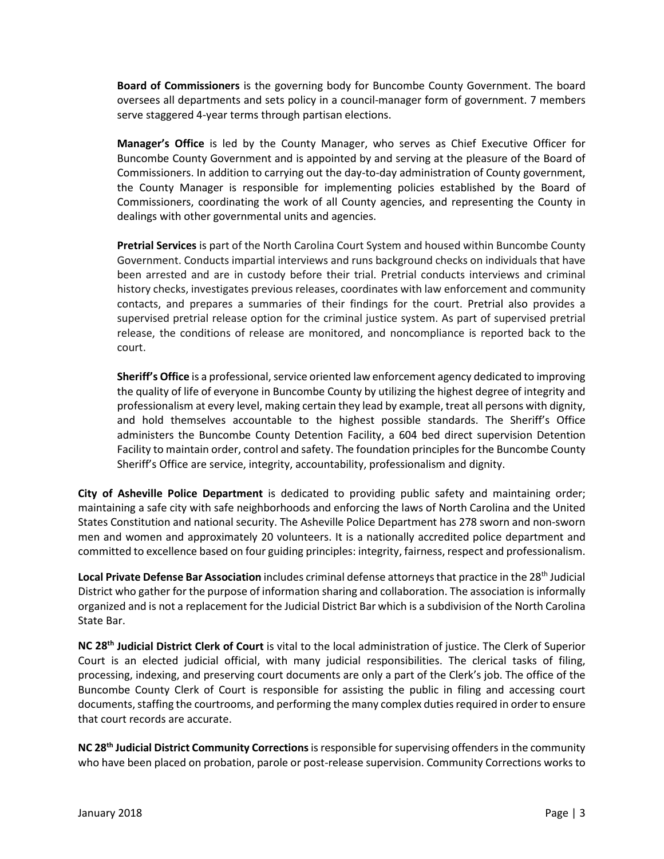**Board of Commissioners** is the governing body for Buncombe County Government. The board oversees all departments and sets policy in a council-manager form of government. 7 members serve staggered 4-year terms through partisan elections.

**Manager's Office** is led by the County Manager, who serves as Chief Executive Officer for Buncombe County Government and is appointed by and serving at the pleasure of the Board of Commissioners. In addition to carrying out the day-to-day administration of County government, the County Manager is responsible for implementing policies established by the Board of Commissioners, coordinating the work of all County agencies, and representing the County in dealings with other governmental units and agencies.

**Pretrial Services** is part of the North Carolina Court System and housed within Buncombe County Government. Conducts impartial interviews and runs background checks on individuals that have been arrested and are in custody before their trial. Pretrial conducts interviews and criminal history checks, investigates previous releases, coordinates with law enforcement and community contacts, and prepares a summaries of their findings for the court. Pretrial also provides a supervised pretrial release option for the criminal justice system. As part of supervised pretrial release, the conditions of release are monitored, and noncompliance is reported back to the court.

**Sheriff's Office** is a professional, service oriented law enforcement agency dedicated to improving the quality of life of everyone in Buncombe County by utilizing the highest degree of integrity and professionalism at every level, making certain they lead by example, treat all persons with dignity, and hold themselves accountable to the highest possible standards. The Sheriff's Office administers the Buncombe County Detention Facility, a 604 bed direct supervision Detention Facility to maintain order, control and safety. The foundation principles for the Buncombe County Sheriff's Office are service, integrity, accountability, professionalism and dignity.

**City of Asheville Police Department** is dedicated to providing public safety and maintaining order; maintaining a safe city with safe neighborhoods and enforcing the laws of North Carolina and the United States Constitution and national security. The Asheville Police Department has 278 sworn and non-sworn men and women and approximately 20 volunteers. It is a nationally accredited police department and committed to excellence based on four guiding principles: integrity, fairness, respect and professionalism.

Local Private Defense Bar Association includes criminal defense attorneys that practice in the 28<sup>th</sup> Judicial District who gather for the purpose of information sharing and collaboration. The association is informally organized and is not a replacement for the Judicial District Bar which is a subdivision of the North Carolina State Bar.

**NC 28th Judicial District Clerk of Court** is vital to the local administration of justice. The Clerk of Superior Court is an elected judicial official, with many judicial responsibilities. The clerical tasks of filing, processing, indexing, and preserving court documents are only a part of the Clerk's job. The office of the Buncombe County Clerk of Court is responsible for assisting the public in filing and accessing court documents, staffing the courtrooms, and performing the many complex duties required in order to ensure that court records are accurate.

**NC 28th Judicial District Community Corrections**is responsible for supervising offenders in the community who have been placed on probation, parole or post-release supervision. Community Corrections works to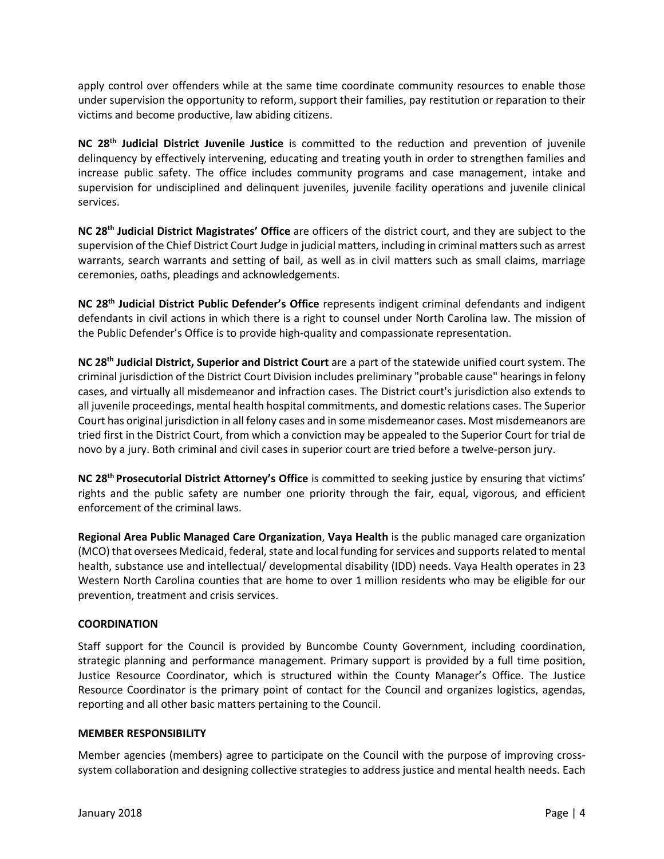apply control over offenders while at the same time coordinate community resources to enable those under supervision the opportunity to reform, support their families, pay restitution or reparation to their victims and become productive, law abiding citizens.

**NC 28th Judicial District Juvenile Justice** is committed to the reduction and prevention of juvenile delinquency by effectively intervening, educating and treating youth in order to strengthen families and increase public safety. The office includes community programs and case management, intake and supervision for undisciplined and delinquent juveniles, juvenile facility operations and juvenile clinical services.

**NC 28th Judicial District Magistrates' Office** are officers of the district court, and they are subject to the supervision of the Chief District Court Judge in judicial matters, including in criminal matters such as arrest warrants, search warrants and setting of bail, as well as in civil matters such as small claims, marriage ceremonies, oaths, pleadings and acknowledgements.

**NC 28th Judicial District Public Defender's Office** represents indigent criminal defendants and indigent defendants in civil actions in which there is a right to counsel under North Carolina law. The mission of the Public Defender's Office is to provide high-quality and compassionate representation.

**NC 28th Judicial District, Superior and District Court** are a part of the statewide unified court system. The criminal jurisdiction of the District Court Division includes preliminary "probable cause" hearings in felony cases, and virtually all misdemeanor and infraction cases. The District court's jurisdiction also extends to all juvenile proceedings, mental health hospital commitments, and domestic relations cases. The Superior Court has original jurisdiction in all felony cases and in some misdemeanor cases. Most misdemeanors are tried first in the District Court, from which a conviction may be appealed to the Superior Court for trial de novo by a jury. Both criminal and civil cases in superior court are tried before a twelve-person jury.

**NC 28th Prosecutorial District Attorney's Office** is committed to seeking justice by ensuring that victims' rights and the public safety are number one priority through the fair, equal, vigorous, and efficient enforcement of the criminal laws.

**Regional Area Public Managed Care Organization**, **Vaya Health** is the public managed care organization (MCO) that oversees Medicaid, federal, state and local funding for services and supports related to mental health, substance use and intellectual/ developmental disability (IDD) needs. Vaya Health operates in 23 Western North Carolina counties that are home to over 1 million residents who may be eligible for our prevention, treatment and crisis services.

# **COORDINATION**

Staff support for the Council is provided by Buncombe County Government, including coordination, strategic planning and performance management. Primary support is provided by a full time position, Justice Resource Coordinator, which is structured within the County Manager's Office. The Justice Resource Coordinator is the primary point of contact for the Council and organizes logistics, agendas, reporting and all other basic matters pertaining to the Council.

# **MEMBER RESPONSIBILITY**

Member agencies (members) agree to participate on the Council with the purpose of improving crosssystem collaboration and designing collective strategies to address justice and mental health needs. Each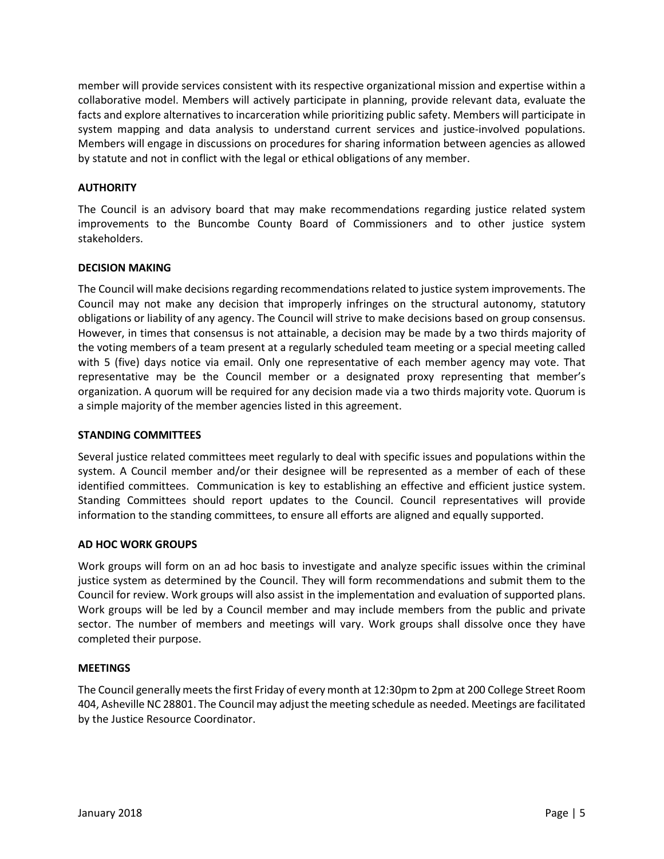member will provide services consistent with its respective organizational mission and expertise within a collaborative model. Members will actively participate in planning, provide relevant data, evaluate the facts and explore alternatives to incarceration while prioritizing public safety. Members will participate in system mapping and data analysis to understand current services and justice-involved populations. Members will engage in discussions on procedures for sharing information between agencies as allowed by statute and not in conflict with the legal or ethical obligations of any member.

# **AUTHORITY**

The Council is an advisory board that may make recommendations regarding justice related system improvements to the Buncombe County Board of Commissioners and to other justice system stakeholders.

# **DECISION MAKING**

The Council will make decisions regarding recommendations related to justice system improvements. The Council may not make any decision that improperly infringes on the structural autonomy, statutory obligations or liability of any agency. The Council will strive to make decisions based on group consensus. However, in times that consensus is not attainable, a decision may be made by a two thirds majority of the voting members of a team present at a regularly scheduled team meeting or a special meeting called with 5 (five) days notice via email. Only one representative of each member agency may vote. That representative may be the Council member or a designated proxy representing that member's organization. A quorum will be required for any decision made via a two thirds majority vote. Quorum is a simple majority of the member agencies listed in this agreement.

# **STANDING COMMITTEES**

Several justice related committees meet regularly to deal with specific issues and populations within the system. A Council member and/or their designee will be represented as a member of each of these identified committees. Communication is key to establishing an effective and efficient justice system. Standing Committees should report updates to the Council. Council representatives will provide information to the standing committees, to ensure all efforts are aligned and equally supported.

# **AD HOC WORK GROUPS**

Work groups will form on an ad hoc basis to investigate and analyze specific issues within the criminal justice system as determined by the Council. They will form recommendations and submit them to the Council for review. Work groups will also assist in the implementation and evaluation of supported plans. Work groups will be led by a Council member and may include members from the public and private sector. The number of members and meetings will vary. Work groups shall dissolve once they have completed their purpose.

# **MEETINGS**

The Council generally meets the first Friday of every month at 12:30pm to 2pm at 200 College Street Room 404, Asheville NC 28801. The Council may adjust the meeting schedule as needed. Meetings are facilitated by the Justice Resource Coordinator.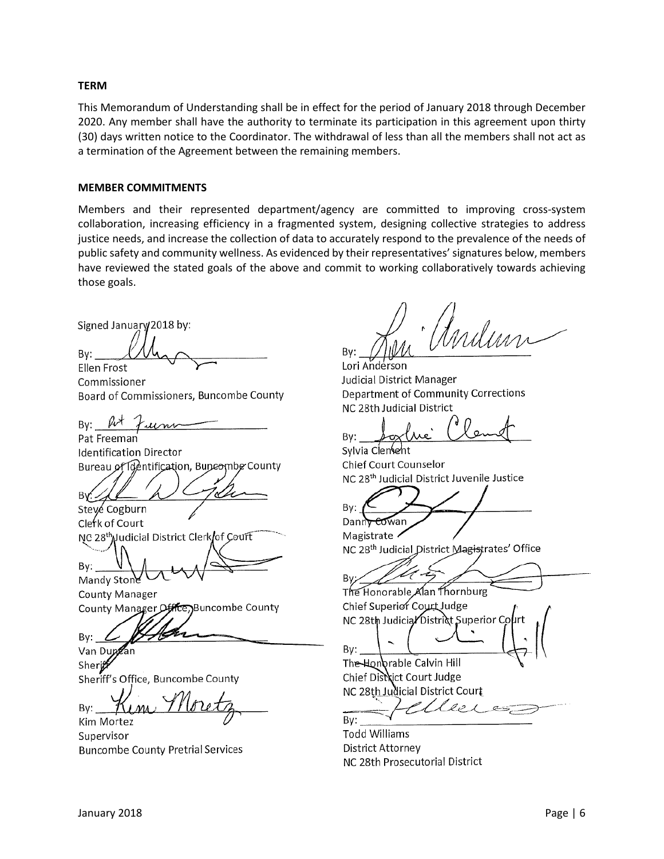#### **TERM**

This Memorandum of Understanding shall be in effect for the period of January 2018 through December 2020. Any member shall have the authority to terminate its participation in this agreement upon thirty (30) days written notice to the Coordinator. The withdrawal of less than all the members shall not act as a termination of the Agreement between the remaining members.

#### **MEMBER COMMITMENTS**

Members and their represented department/agency are committed to improving cross-system collaboration, increasing efficiency in a fragmented system, designing collective strategies to address justice needs, and increase the collection of data to accurately respond to the prevalence of the needs of public safety and community wellness. As evidenced by their representatives' signatures below, members have reviewed the stated goals of the above and commit to working collaboratively towards achieving those goals.

Signed January/2018 by:

 $\mathbb{Z}/I$ By: Ellen Frost

Commissioner<br>Board of Commissioners, Buncombe County

 $\mathfrak{g} \downarrow \mathfrak{g}$ By:  $\mu$ 

Pat Freeman<br>Identification Director Bureau of Identification, Buncombe County

 $\mathcal{L}/\mathcal{U}$  (1)  $\mathcal{L}$  and  $\mathcal{L}$ . By Cogburn

Clerk of Court NC 28<sup>th</sup> Judicial District Clerk of Court

 $\mathbb{R}^n$   $\mathbb{R}^n$   $\mathbb{R}$   $\mathbb{R}$   $\mathbb{R}$   $\mathbb{R}$   $\mathbb{R}$   $\mathbb{R}$   $\mathbb{R}$   $\mathbb{R}$   $\mathbb{R}$   $\mathbb{R}$   $\mathbb{R}$   $\mathbb{R}$   $\mathbb{R}$   $\mathbb{R}$   $\mathbb{R}$   $\mathbb{R}$   $\mathbb{R}$   $\mathbb{R}$   $\mathbb{R}$   $\mathbb{R}$   $\mathbb{R}$   $\mathbb{R}$  By: V \<br>Mandy Stone

County Manager County Manager Office, Buncombe County

 $B_{\rm BV}$  /  $\mathcal{H}$ 

Van Dungan

Sheri**t** Sheriff's Office, Buncombe County

By:  $K_{IM}$ , Turetz

Kim Mortez Supervisor Buncombe County Pretrial Services

n<br>Milim  $\sim$ 

India<br>Tudicial District Manager dicial District Manager<br>Constitutions Corrections epartment of community<br>- - - - - - - - - - - - - - - - -

 $\Box$   $\Box$   $\Box$   $\Box$   $\Box$ 

By: <u>Joy</u><br>Sylvia Clentent Chief Court Counselor NC 28th Judicial District Juvenile Justice

 $K \neq \emptyset$ By: Cowan

Magistrate / NC 28<sup>th</sup> Judicial District Magistrates' Office

 $1/47$ 

The Honorable Alan Thornburg Chief Superior Court Judge NC 28th Judicia/District Superior Court

 $\mathcal{B}$ :  $\mathcal{B}$  ,  $\mathcal{B}$  ,  $\mathcal{B}$  ,  $\mathcal{B}$  ,  $\mathcal{B}$  ,  $\mathcal{B}$  ,  $\mathcal{B}$  ,  $\mathcal{B}$  ,  $\mathcal{B}$  ,  $\mathcal{B}$ The Honorable Calvin Hill Chief District Court Judge NC 28th Judicial District Court

 $\sigma$  $\mathcal{S}:\underline{\hspace{2.5cm}}$ 

Todd Williams District Attorney NC 28th Prosecutorial District